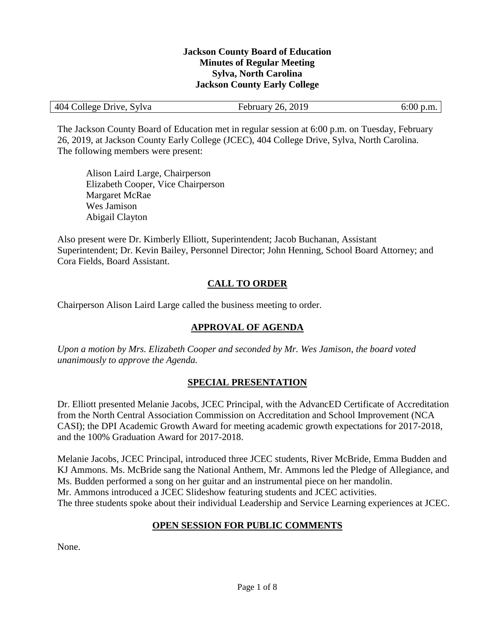#### **Jackson County Board of Education Minutes of Regular Meeting Sylva, North Carolina Jackson County Early College**

| 404 College Drive, Sylva | February 26, 2019 | $6:00$ p.m. |
|--------------------------|-------------------|-------------|
|--------------------------|-------------------|-------------|

The Jackson County Board of Education met in regular session at 6:00 p.m. on Tuesday, February 26, 2019, at Jackson County Early College (JCEC), 404 College Drive, Sylva, North Carolina. The following members were present:

Alison Laird Large, Chairperson Elizabeth Cooper, Vice Chairperson Margaret McRae Wes Jamison Abigail Clayton

Also present were Dr. Kimberly Elliott, Superintendent; Jacob Buchanan, Assistant Superintendent; Dr. Kevin Bailey, Personnel Director; John Henning, School Board Attorney; and Cora Fields, Board Assistant.

## **CALL TO ORDER**

Chairperson Alison Laird Large called the business meeting to order.

## **APPROVAL OF AGENDA**

*Upon a motion by Mrs. Elizabeth Cooper and seconded by Mr. Wes Jamison, the board voted unanimously to approve the Agenda.*

#### **SPECIAL PRESENTATION**

Dr. Elliott presented Melanie Jacobs, JCEC Principal, with the AdvancED Certificate of Accreditation from the North Central Association Commission on Accreditation and School Improvement (NCA CASI); the DPI Academic Growth Award for meeting academic growth expectations for 2017-2018, and the 100% Graduation Award for 2017-2018.

Melanie Jacobs, JCEC Principal, introduced three JCEC students, River McBride, Emma Budden and KJ Ammons. Ms. McBride sang the National Anthem, Mr. Ammons led the Pledge of Allegiance, and Ms. Budden performed a song on her guitar and an instrumental piece on her mandolin. Mr. Ammons introduced a JCEC Slideshow featuring students and JCEC activities. The three students spoke about their individual Leadership and Service Learning experiences at JCEC.

## **OPEN SESSION FOR PUBLIC COMMENTS**

None.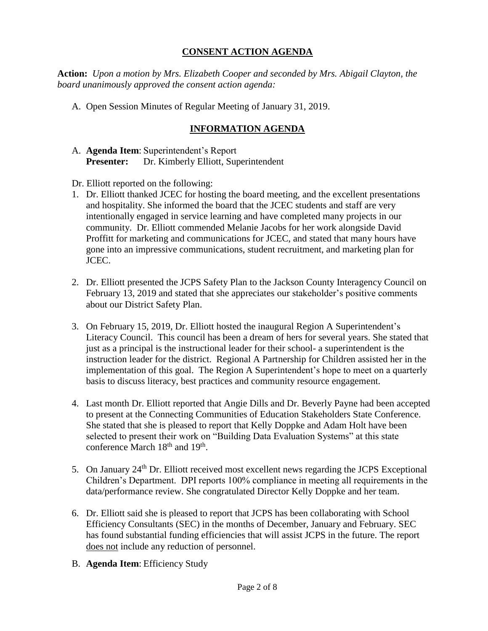#### **CONSENT ACTION AGENDA**

**Action:** *Upon a motion by Mrs. Elizabeth Cooper and seconded by Mrs. Abigail Clayton, the board unanimously approved the consent action agenda:*

A. Open Session Minutes of Regular Meeting of January 31, 2019.

## **INFORMATION AGENDA**

- A. **Agenda Item**: Superintendent's Report **Presenter:** Dr. Kimberly Elliott, Superintendent
- Dr. Elliott reported on the following:
- 1. Dr. Elliott thanked JCEC for hosting the board meeting, and the excellent presentations and hospitality. She informed the board that the JCEC students and staff are very intentionally engaged in service learning and have completed many projects in our community. Dr. Elliott commended Melanie Jacobs for her work alongside David Proffitt for marketing and communications for JCEC, and stated that many hours have gone into an impressive communications, student recruitment, and marketing plan for JCEC.
- 2. Dr. Elliott presented the JCPS Safety Plan to the Jackson County Interagency Council on February 13, 2019 and stated that she appreciates our stakeholder's positive comments about our District Safety Plan.
- 3. On February 15, 2019, Dr. Elliott hosted the inaugural Region A Superintendent's Literacy Council. This council has been a dream of hers for several years. She stated that just as a principal is the instructional leader for their school- a superintendent is the instruction leader for the district. Regional A Partnership for Children assisted her in the implementation of this goal. The Region A Superintendent's hope to meet on a quarterly basis to discuss literacy, best practices and community resource engagement.
- 4. Last month Dr. Elliott reported that Angie Dills and Dr. Beverly Payne had been accepted to present at the Connecting Communities of Education Stakeholders State Conference. She stated that she is pleased to report that Kelly Doppke and Adam Holt have been selected to present their work on "Building Data Evaluation Systems" at this state conference March 18<sup>th</sup> and 19<sup>th</sup>.
- 5. On January 24<sup>th</sup> Dr. Elliott received most excellent news regarding the JCPS Exceptional Children's Department. DPI reports 100% compliance in meeting all requirements in the data/performance review. She congratulated Director Kelly Doppke and her team.
- 6. Dr. Elliott said she is pleased to report that JCPS has been collaborating with School Efficiency Consultants (SEC) in the months of December, January and February. SEC has found substantial funding efficiencies that will assist JCPS in the future. The report does not include any reduction of personnel.
- B. **Agenda Item**: Efficiency Study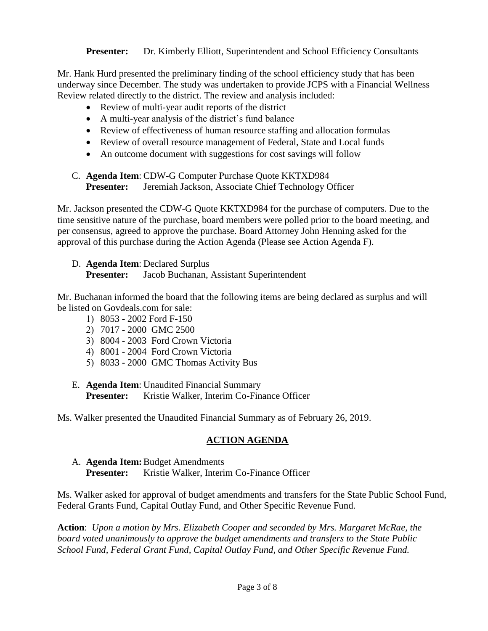**Presenter:** Dr. Kimberly Elliott, Superintendent and School Efficiency Consultants

Mr. Hank Hurd presented the preliminary finding of the school efficiency study that has been underway since December. The study was undertaken to provide JCPS with a Financial Wellness Review related directly to the district. The review and analysis included:

- Review of multi-year audit reports of the district
- A multi-year analysis of the district's fund balance
- Review of effectiveness of human resource staffing and allocation formulas
- Review of overall resource management of Federal, State and Local funds
- An outcome document with suggestions for cost savings will follow

#### C. **Agenda Item**: CDW-G Computer Purchase Quote KKTXD984 **Presenter:** Jeremiah Jackson, Associate Chief Technology Officer

Mr. Jackson presented the CDW-G Quote KKTXD984 for the purchase of computers. Due to the time sensitive nature of the purchase, board members were polled prior to the board meeting, and per consensus, agreed to approve the purchase. Board Attorney John Henning asked for the approval of this purchase during the Action Agenda (Please see Action Agenda F).

D. **Agenda Item**: Declared Surplus **Presenter:** Jacob Buchanan, Assistant Superintendent

Mr. Buchanan informed the board that the following items are being declared as surplus and will be listed on Govdeals.com for sale:

- 1) 8053 2002 Ford F-150
- 2) 7017 2000 GMC 2500
- 3) 8004 2003 Ford Crown Victoria
- 4) 8001 2004 Ford Crown Victoria
- 5) 8033 2000 GMC Thomas Activity Bus

#### E. **Agenda Item**: Unaudited Financial Summary **Presenter:** Kristie Walker, Interim Co-Finance Officer

Ms. Walker presented the Unaudited Financial Summary as of February 26, 2019.

## **ACTION AGENDA**

A. **Agenda Item:**Budget Amendments **Presenter:** Kristie Walker, Interim Co-Finance Officer

Ms. Walker asked for approval of budget amendments and transfers for the State Public School Fund, Federal Grants Fund, Capital Outlay Fund, and Other Specific Revenue Fund.

**Action**: *Upon a motion by Mrs. Elizabeth Cooper and seconded by Mrs. Margaret McRae, the board voted unanimously to approve the budget amendments and transfers to the State Public School Fund, Federal Grant Fund, Capital Outlay Fund, and Other Specific Revenue Fund.*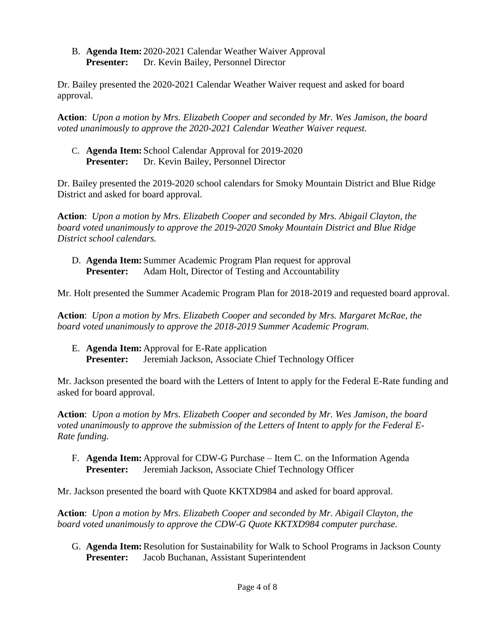B. **Agenda Item:** 2020-2021 Calendar Weather Waiver Approval **Presenter:** Dr. Kevin Bailey, Personnel Director

Dr. Bailey presented the 2020-2021 Calendar Weather Waiver request and asked for board approval.

**Action**: *Upon a motion by Mrs. Elizabeth Cooper and seconded by Mr. Wes Jamison, the board voted unanimously to approve the 2020-2021 Calendar Weather Waiver request.*

C. **Agenda Item:** School Calendar Approval for 2019-2020 **Presenter:** Dr. Kevin Bailey, Personnel Director

Dr. Bailey presented the 2019-2020 school calendars for Smoky Mountain District and Blue Ridge District and asked for board approval.

**Action**: *Upon a motion by Mrs. Elizabeth Cooper and seconded by Mrs. Abigail Clayton, the board voted unanimously to approve the 2019-2020 Smoky Mountain District and Blue Ridge District school calendars.*

D. **Agenda Item:** Summer Academic Program Plan request for approval **Presenter:** Adam Holt, Director of Testing and Accountability

Mr. Holt presented the Summer Academic Program Plan for 2018-2019 and requested board approval.

**Action**: *Upon a motion by Mrs. Elizabeth Cooper and seconded by Mrs. Margaret McRae, the board voted unanimously to approve the 2018-2019 Summer Academic Program.*

E. **Agenda Item:** Approval for E-Rate application **Presenter:** Jeremiah Jackson, Associate Chief Technology Officer

Mr. Jackson presented the board with the Letters of Intent to apply for the Federal E-Rate funding and asked for board approval.

**Action**: *Upon a motion by Mrs. Elizabeth Cooper and seconded by Mr. Wes Jamison, the board voted unanimously to approve the submission of the Letters of Intent to apply for the Federal E-Rate funding.*

F. **Agenda Item:** Approval for CDW-G Purchase – Item C. on the Information Agenda **Presenter:** Jeremiah Jackson, Associate Chief Technology Officer

Mr. Jackson presented the board with Quote KKTXD984 and asked for board approval.

**Action**: *Upon a motion by Mrs. Elizabeth Cooper and seconded by Mr. Abigail Clayton, the board voted unanimously to approve the CDW-G Quote KKTXD984 computer purchase.*

G. **Agenda Item:**Resolution for Sustainability for Walk to School Programs in Jackson County **Presenter:** Jacob Buchanan, Assistant Superintendent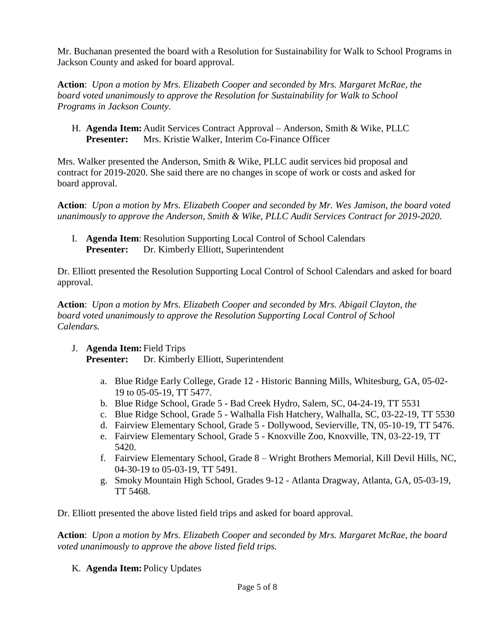Mr. Buchanan presented the board with a Resolution for Sustainability for Walk to School Programs in Jackson County and asked for board approval.

**Action**: *Upon a motion by Mrs. Elizabeth Cooper and seconded by Mrs. Margaret McRae, the board voted unanimously to approve the Resolution for Sustainability for Walk to School Programs in Jackson County.*

H. **Agenda Item:** Audit Services Contract Approval – Anderson, Smith & Wike, PLLC **Presenter:** Mrs. Kristie Walker, Interim Co-Finance Officer

Mrs. Walker presented the Anderson, Smith & Wike, PLLC audit services bid proposal and contract for 2019-2020. She said there are no changes in scope of work or costs and asked for board approval.

**Action**: *Upon a motion by Mrs. Elizabeth Cooper and seconded by Mr. Wes Jamison, the board voted unanimously to approve the Anderson, Smith & Wike, PLLC Audit Services Contract for 2019-2020.*

I. **Agenda Item**: Resolution Supporting Local Control of School Calendars **Presenter:** Dr. Kimberly Elliott, Superintendent

Dr. Elliott presented the Resolution Supporting Local Control of School Calendars and asked for board approval.

**Action**: *Upon a motion by Mrs. Elizabeth Cooper and seconded by Mrs. Abigail Clayton, the board voted unanimously to approve the Resolution Supporting Local Control of School Calendars.*

J. **Agenda Item:** Field Trips

**Presenter:** Dr. Kimberly Elliott, Superintendent

- a. Blue Ridge Early College, Grade 12 Historic Banning Mills, Whitesburg, GA, 05-02- 19 to 05-05-19, TT 5477.
- b. Blue Ridge School, Grade 5 Bad Creek Hydro, Salem, SC, 04-24-19, TT 5531
- c. Blue Ridge School, Grade 5 Walhalla Fish Hatchery, Walhalla, SC, 03-22-19, TT 5530
- d. Fairview Elementary School, Grade 5 Dollywood, Sevierville, TN, 05-10-19, TT 5476.
- e. Fairview Elementary School, Grade 5 Knoxville Zoo, Knoxville, TN, 03-22-19, TT 5420.
- f. Fairview Elementary School, Grade 8 Wright Brothers Memorial, Kill Devil Hills, NC, 04-30-19 to 05-03-19, TT 5491.
- g. Smoky Mountain High School, Grades 9-12 Atlanta Dragway, Atlanta, GA, 05-03-19, TT 5468.

Dr. Elliott presented the above listed field trips and asked for board approval.

**Action**: *Upon a motion by Mrs. Elizabeth Cooper and seconded by Mrs. Margaret McRae, the board voted unanimously to approve the above listed field trips.*

K. **Agenda Item:** Policy Updates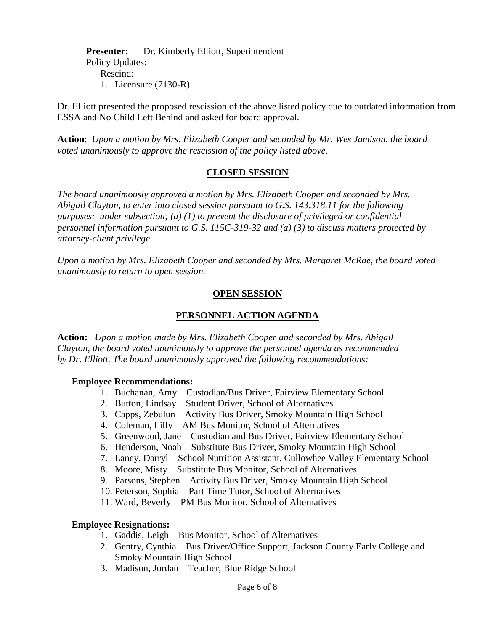**Presenter:** Dr. Kimberly Elliott, Superintendent Policy Updates: Rescind: 1. Licensure (7130-R)

Dr. Elliott presented the proposed rescission of the above listed policy due to outdated information from ESSA and No Child Left Behind and asked for board approval.

**Action**: *Upon a motion by Mrs. Elizabeth Cooper and seconded by Mr. Wes Jamison, the board voted unanimously to approve the rescission of the policy listed above.*

### **CLOSED SESSION**

*The board unanimously approved a motion by Mrs. Elizabeth Cooper and seconded by Mrs. Abigail Clayton, to enter into closed session pursuant to G.S. 143.318.11 for the following purposes: under subsection; (a) (1) to prevent the disclosure of privileged or confidential personnel information pursuant to G.S. 115C-319-32 and (a) (3) to discuss matters protected by attorney-client privilege.* 

*Upon a motion by Mrs. Elizabeth Cooper and seconded by Mrs. Margaret McRae, the board voted unanimously to return to open session.*

#### **OPEN SESSION**

# **PERSONNEL ACTION AGENDA**

**Action:** *Upon a motion made by Mrs. Elizabeth Cooper and seconded by Mrs. Abigail Clayton, the board voted unanimously to approve the personnel agenda as recommended by Dr. Elliott. The board unanimously approved the following recommendations:*

#### **Employee Recommendations:**

- 1. Buchanan, Amy Custodian/Bus Driver, Fairview Elementary School
- 2. Button, Lindsay Student Driver, School of Alternatives
- 3. Capps, Zebulun Activity Bus Driver, Smoky Mountain High School
- 4. Coleman, Lilly AM Bus Monitor, School of Alternatives
- 5. Greenwood, Jane Custodian and Bus Driver, Fairview Elementary School
- 6. Henderson, Noah Substitute Bus Driver, Smoky Mountain High School
- 7. Laney, Darryl School Nutrition Assistant, Cullowhee Valley Elementary School
- 8. Moore, Misty Substitute Bus Monitor, School of Alternatives
- 9. Parsons, Stephen Activity Bus Driver, Smoky Mountain High School
- 10. Peterson, Sophia Part Time Tutor, School of Alternatives
- 11. Ward, Beverly PM Bus Monitor, School of Alternatives

#### **Employee Resignations:**

- 1. Gaddis, Leigh Bus Monitor, School of Alternatives
- 2. Gentry, Cynthia Bus Driver/Office Support, Jackson County Early College and Smoky Mountain High School
- 3. Madison, Jordan Teacher, Blue Ridge School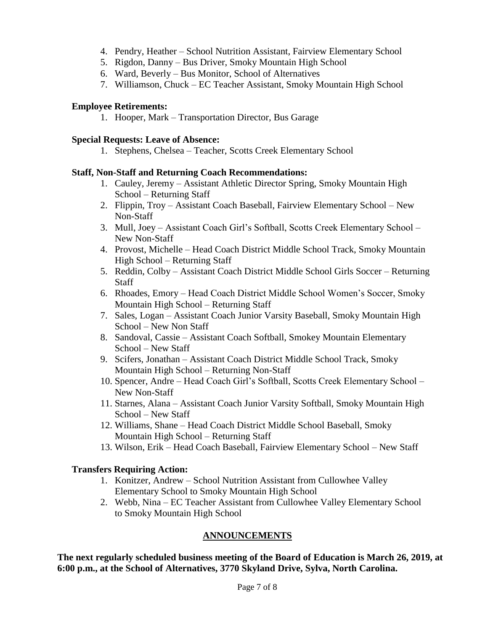- 4. Pendry, Heather School Nutrition Assistant, Fairview Elementary School
- 5. Rigdon, Danny Bus Driver, Smoky Mountain High School
- 6. Ward, Beverly Bus Monitor, School of Alternatives
- 7. Williamson, Chuck EC Teacher Assistant, Smoky Mountain High School

#### **Employee Retirements:**

1. Hooper, Mark – Transportation Director, Bus Garage

#### **Special Requests: Leave of Absence:**

1. Stephens, Chelsea – Teacher, Scotts Creek Elementary School

### **Staff, Non-Staff and Returning Coach Recommendations:**

- 1. Cauley, Jeremy Assistant Athletic Director Spring, Smoky Mountain High School – Returning Staff
- 2. Flippin, Troy Assistant Coach Baseball, Fairview Elementary School New Non-Staff
- 3. Mull, Joey Assistant Coach Girl's Softball, Scotts Creek Elementary School New Non-Staff
- 4. Provost, Michelle Head Coach District Middle School Track, Smoky Mountain High School – Returning Staff
- 5. Reddin, Colby Assistant Coach District Middle School Girls Soccer Returning Staff
- 6. Rhoades, Emory Head Coach District Middle School Women's Soccer, Smoky Mountain High School – Returning Staff
- 7. Sales, Logan Assistant Coach Junior Varsity Baseball, Smoky Mountain High School – New Non Staff
- 8. Sandoval, Cassie Assistant Coach Softball, Smokey Mountain Elementary School – New Staff
- 9. Scifers, Jonathan Assistant Coach District Middle School Track, Smoky Mountain High School – Returning Non-Staff
- 10. Spencer, Andre Head Coach Girl's Softball, Scotts Creek Elementary School New Non-Staff
- 11. Starnes, Alana Assistant Coach Junior Varsity Softball, Smoky Mountain High School – New Staff
- 12. Williams, Shane Head Coach District Middle School Baseball, Smoky Mountain High School – Returning Staff
- 13. Wilson, Erik Head Coach Baseball, Fairview Elementary School New Staff

## **Transfers Requiring Action:**

- 1. Konitzer, Andrew School Nutrition Assistant from Cullowhee Valley Elementary School to Smoky Mountain High School
- 2. Webb, Nina EC Teacher Assistant from Cullowhee Valley Elementary School to Smoky Mountain High School

# **ANNOUNCEMENTS**

**The next regularly scheduled business meeting of the Board of Education is March 26, 2019, at 6:00 p.m., at the School of Alternatives, 3770 Skyland Drive, Sylva, North Carolina.**